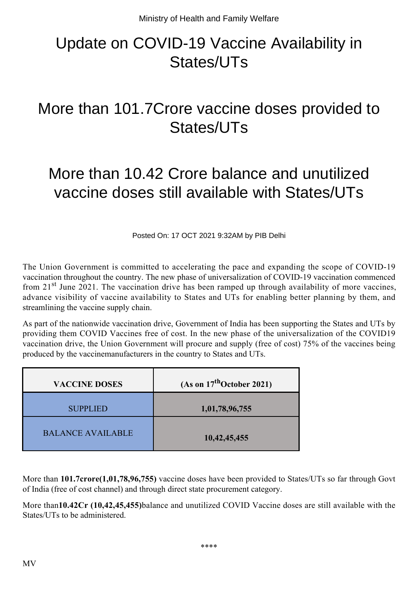## Update on COVID-19 Vaccine Availability in States/UTs

## More than 101.7Crore vaccine doses provided to States/UTs

## More than 10.42 Crore balance and unutilized vaccine doses still available with States/UTs

Posted On: 17 OCT 2021 9:32AM by PIB Delhi

The Union Government is committed to accelerating the pace and expanding the scope of COVID-19 vaccination throughout the country. The new phase of universalization of COVID-19 vaccination commenced from  $21<sup>st</sup>$  June 2021. The vaccination drive has been ramped up through availability of more vaccines, advance visibility of vaccine availability to States and UTs for enabling better planning by them, and streamlining the vaccine supply chain.

As part of the nationwide vaccination drive, Government of India has been supporting the States and UTs by providing them COVID Vaccines free of cost. In the new phase of the universalization of the COVID19 vaccination drive, the Union Government will procure and supply (free of cost) 75% of the vaccines being produced by the vaccinemanufacturers in the country to States and UTs.

| <b>VACCINE DOSES</b>     | (As on $17^{\text{th}}$ October 2021) |
|--------------------------|---------------------------------------|
| <b>SUPPLIED</b>          | 1,01,78,96,755                        |
| <b>BALANCE AVAILABLE</b> | 10,42,45,455                          |

More than **101.7crore(1,01,78,96,755)** vaccine doses have been provided to States/UTs so far through Govt of India (free of cost channel) and through direct state procurement category.

More than**10.42Cr (10,42,45,455)**balance and unutilized COVID Vaccine doses are still available with the States/UTs to be administered.